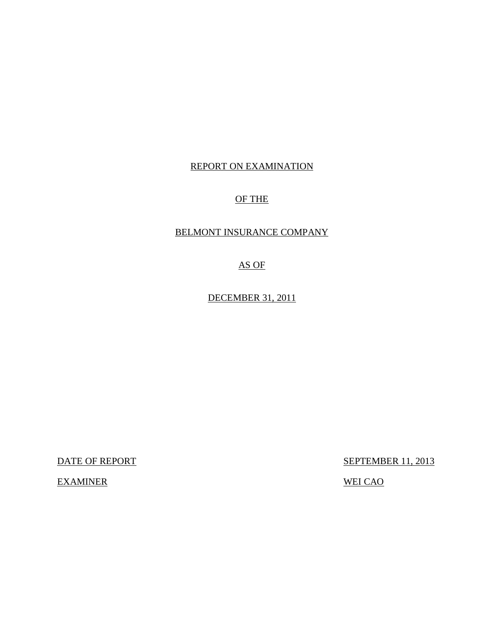# REPORT ON EXAMINATION

# OF THE

# BELMONT INSURANCE COMPANY

AS OF

DECEMBER 31, 2011

EXAMINER WEI CAO

DATE OF REPORT SEPTEMBER 11, 2013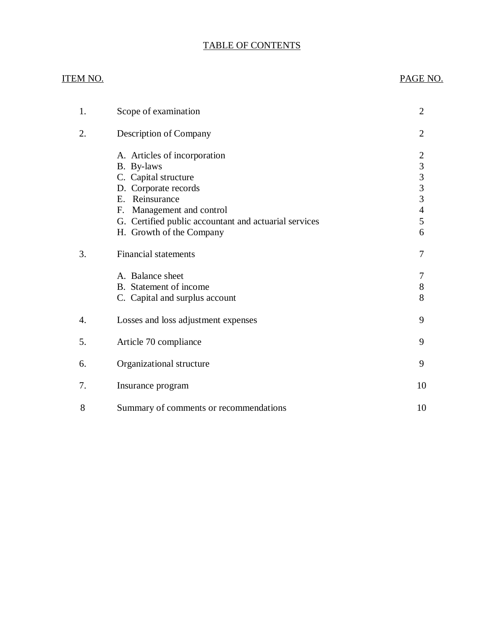# TABLE OF CONTENTS

# ITEM NO. PAGE NO.

| 1. | Scope of examination                                                                                                                                                                                                              | 2                                                                                |
|----|-----------------------------------------------------------------------------------------------------------------------------------------------------------------------------------------------------------------------------------|----------------------------------------------------------------------------------|
| 2. | Description of Company                                                                                                                                                                                                            | $\overline{2}$                                                                   |
|    | A. Articles of incorporation<br>B. By-laws<br>C. Capital structure<br>D. Corporate records<br>E. Reinsurance<br>Management and control<br>F.<br>G. Certified public accountant and actuarial services<br>H. Growth of the Company | 2<br>$\begin{array}{c} 3 \\ 3 \\ 3 \\ 3 \end{array}$<br>$\overline{4}$<br>5<br>6 |
| 3. | <b>Financial statements</b>                                                                                                                                                                                                       | 7                                                                                |
|    | A. Balance sheet<br>B. Statement of income<br>C. Capital and surplus account                                                                                                                                                      | 7<br>$8\,$<br>8                                                                  |
| 4. | Losses and loss adjustment expenses                                                                                                                                                                                               | 9                                                                                |
| 5. | Article 70 compliance                                                                                                                                                                                                             | 9                                                                                |
| 6. | Organizational structure                                                                                                                                                                                                          | 9                                                                                |
| 7. | Insurance program                                                                                                                                                                                                                 | 10                                                                               |
| 8  | Summary of comments or recommendations                                                                                                                                                                                            | 10                                                                               |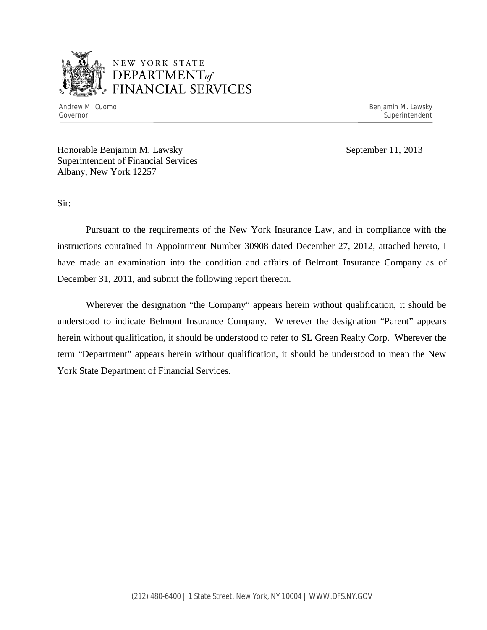

# NEW YORK STATE *DEPARTMENTof*  FINANCIAL SERVICES

Andrew M. Cuomo **Benjamin M. Lawsky** Governor Superintendent Superintendent Superintendent Superintendent Superintendent Superintendent Superintendent

Honorable Benjamin M. Lawsky September 11, 2013 Superintendent of Financial Services Albany, New York 12257

Sir:

Pursuant to the requirements of the New York Insurance Law, and in compliance with the instructions contained in Appointment Number 30908 dated December 27, 2012, attached hereto, I have made an examination into the condition and affairs of Belmont Insurance Company as of December 31, 2011, and submit the following report thereon.

Wherever the designation "the Company" appears herein without qualification, it should be understood to indicate Belmont Insurance Company. Wherever the designation "Parent" appears herein without qualification, it should be understood to refer to SL Green Realty Corp. Wherever the term "Department" appears herein without qualification, it should be understood to mean the New York State Department of Financial Services.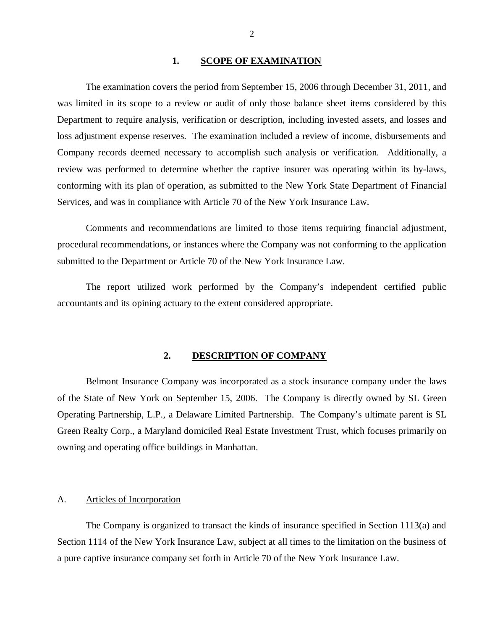### 1. SCOPE OF EXAMINATION

<span id="page-3-0"></span>The examination covers the period from September 15, 2006 through December 31, 2011, and was limited in its scope to a review or audit of only those balance sheet items considered by this Department to require analysis, verification or description, including invested assets, and losses and loss adjustment expense reserves. The examination included a review of income, disbursements and Company records deemed necessary to accomplish such analysis or verification. Additionally, a review was performed to determine whether the captive insurer was operating within its by-laws, conforming with its plan of operation, as submitted to the New York State Department of Financial Services, and was in compliance with Article 70 of the New York Insurance Law.

Comments and recommendations are limited to those items requiring financial adjustment, procedural recommendations, or instances where the Company was not conforming to the application submitted to the Department or Article 70 of the New York Insurance Law.

The report utilized work performed by the Company's independent certified public accountants and its opining actuary to the extent considered appropriate.

### **2. DESCRIPTION OF COMPANY**

Belmont Insurance Company was incorporated as a stock insurance company under the laws of the State of New York on September 15, 2006. The Company is directly owned by SL Green Operating Partnership, L.P., a Delaware Limited Partnership. The Company's ultimate parent is SL Green Realty Corp., a Maryland domiciled Real Estate Investment Trust, which focuses primarily on owning and operating office buildings in Manhattan.

### A. Articles of Incorporation

The Company is organized to transact the kinds of insurance specified in Section 1113(a) and Section 1114 of the New York Insurance Law, subject at all times to the limitation on the business of a pure captive insurance company set forth in Article 70 of the New York Insurance Law.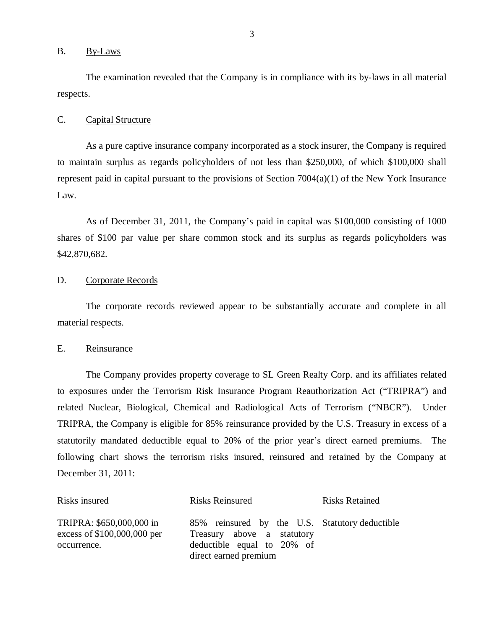### <span id="page-4-0"></span>B. By-Laws

The examination revealed that the Company is in compliance with its by-laws in all material respects.

### C. Capital Structure

As a pure captive insurance company incorporated as a stock insurer, the Company is required to maintain surplus as regards policyholders of not less than \$250,000, of which \$100,000 shall represent paid in capital pursuant to the provisions of Section 7004(a)(1) of the New York Insurance Law.

As of December 31, 2011, the Company's paid in capital was \$100,000 consisting of 1000 shares of \$100 par value per share common stock and its surplus as regards policyholders was \$42,870,682.

### D. Corporate Records

The corporate records reviewed appear to be substantially accurate and complete in all material respects.

### E. Reinsurance

The Company provides property coverage to SL Green Realty Corp. and its affiliates related to exposures under the Terrorism Risk Insurance Program Reauthorization Act ("TRIPRA") and related Nuclear, Biological, Chemical and Radiological Acts of Terrorism ("NBCR"). Under TRIPRA, the Company is eligible for 85% reinsurance provided by the U.S. Treasury in excess of a statutorily mandated deductible equal to 20% of the prior year's direct earned premiums. The following chart shows the terrorism risks insured, reinsured and retained by the Company at December 31, 2011:

| Risks insured                                                          | <b>Risks Reinsured</b>                                                                                                              | <b>Risks Retained</b> |
|------------------------------------------------------------------------|-------------------------------------------------------------------------------------------------------------------------------------|-----------------------|
| TRIPRA: \$650,000,000 in<br>excess of \$100,000,000 per<br>occurrence. | 85% reinsured by the U.S. Statutory deductible<br>Treasury above a statutory<br>deductible equal to 20% of<br>direct earned premium |                       |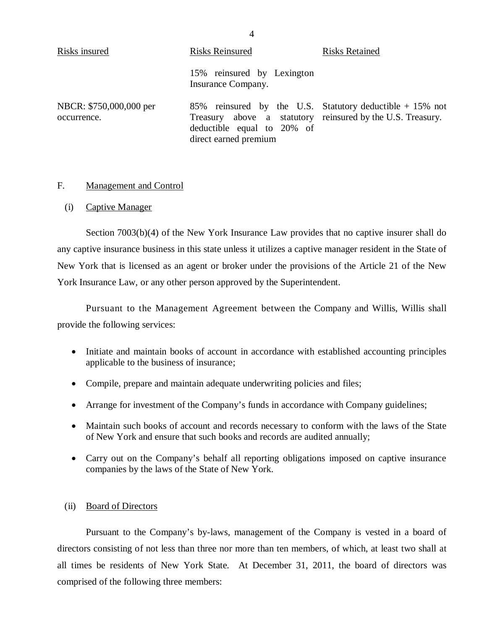<span id="page-5-0"></span>

| Risks insured                          | <b>Risks Reinsured</b>                                                                                                                                                           | <b>Risks Retained</b> |
|----------------------------------------|----------------------------------------------------------------------------------------------------------------------------------------------------------------------------------|-----------------------|
|                                        | 15% reinsured by Lexington<br>Insurance Company.                                                                                                                                 |                       |
| NBCR: \$750,000,000 per<br>occurrence. | 85% reinsured by the U.S. Statutory deductible $+ 15\%$ not<br>Treasury above a statutory reinsured by the U.S. Treasury.<br>deductible equal to 20% of<br>direct earned premium |                       |

### F. Management and Control

(i) Captive Manager

Section 7003(b)(4) of the New York Insurance Law provides that no captive insurer shall do any captive insurance business in this state unless it utilizes a captive manager resident in the State of New York that is licensed as an agent or broker under the provisions of the Article 21 of the New York Insurance Law, or any other person approved by the Superintendent.

Pursuant to the Management Agreement between the Company and Willis, Willis shall provide the following services:

- Initiate and maintain books of account in accordance with established accounting principles applicable to the business of insurance;
- Compile, prepare and maintain adequate underwriting policies and files;
- Arrange for investment of the Company's funds in accordance with Company guidelines;
- Maintain such books of account and records necessary to conform with the laws of the State of New York and ensure that such books and records are audited annually;
- Carry out on the Company's behalf all reporting obligations imposed on captive insurance companies by the laws of the State of New York.

### (ii) Board of Directors

Pursuant to the Company's by-laws, management of the Company is vested in a board of directors consisting of not less than three nor more than ten members, of which, at least two shall at all times be residents of New York State. At December 31, 2011, the board of directors was comprised of the following three members:

4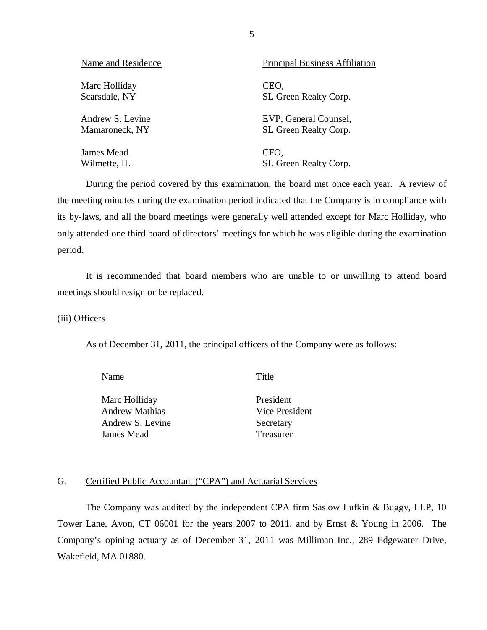<span id="page-6-0"></span>

| Name and Residence | <b>Principal Business Affiliation</b> |
|--------------------|---------------------------------------|
| Marc Holliday      | CEO,                                  |
| Scarsdale, NY      | SL Green Realty Corp.                 |
| Andrew S. Levine   | EVP, General Counsel,                 |
| Mamaroneck, NY     | SL Green Realty Corp.                 |
| James Mead         | CFO,                                  |
| Wilmette, IL       | SL Green Realty Corp.                 |

During the period covered by this examination, the board met once each year. A review of the meeting minutes during the examination period indicated that the Company is in compliance with its by-laws, and all the board meetings were generally well attended except for Marc Holliday, who only attended one third board of directors' meetings for which he was eligible during the examination period.

It is recommended that board members who are unable to or unwilling to attend board meetings should resign or be replaced.

### (iii) Officers

As of December 31, 2011, the principal officers of the Company were as follows:

Name Title

Marc Holliday President Andrew Mathias Vice President Andrew S. Levine Secretary **James Mead** Treasurer

### G. Certified Public Accountant ("CPA") and Actuarial Services

The Company was audited by the independent CPA firm Saslow Lufkin & Buggy, LLP, 10 Tower Lane, Avon, CT 06001 for the years 2007 to 2011, and by Ernst & Young in 2006. The Company's opining actuary as of December 31, 2011 was Milliman Inc., 289 Edgewater Drive, Wakefield, MA 01880.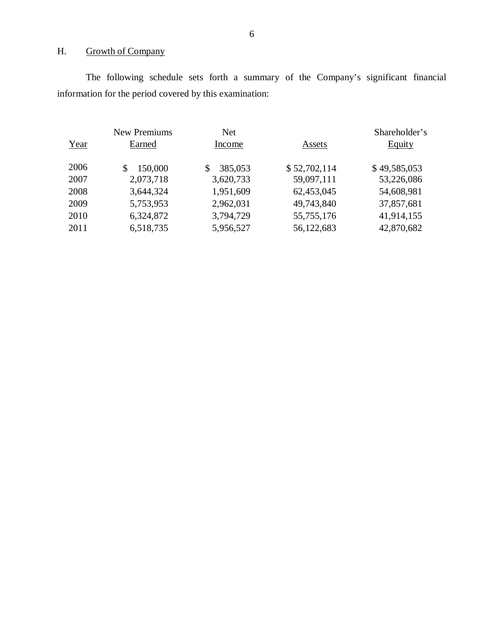# H. Growth of Company

The following schedule sets forth a summary of the Company's significant financial information for the period covered by this examination:

|      | New Premiums  | <b>Net</b>    |              | Shareholder's |
|------|---------------|---------------|--------------|---------------|
| Year | Earned        | Income        | Assets       | <b>Equity</b> |
| 2006 | 150,000<br>\$ | 385,053<br>\$ | \$52,702,114 | \$49,585,053  |
| 2007 | 2,073,718     | 3,620,733     | 59,097,111   | 53,226,086    |
| 2008 | 3,644,324     | 1,951,609     | 62,453,045   | 54,608,981    |
| 2009 | 5,753,953     | 2,962,031     | 49,743,840   | 37,857,681    |
| 2010 | 6,324,872     | 3,794,729     | 55,755,176   | 41,914,155    |
| 2011 | 6,518,735     | 5,956,527     | 56,122,683   | 42,870,682    |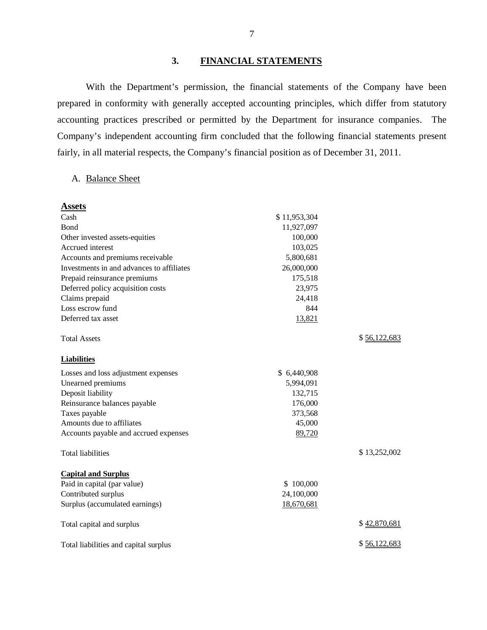# **3. FINANCIAL STATEMENTS**

With the Department's permission, the financial statements of the Company have been prepared in conformity with generally accepted accounting principles, which differ from statutory accounting practices prescribed or permitted by the Department for insurance companies. The Company's independent accounting firm concluded that the following financial statements present fairly, in all material respects, the Company's financial position as of December 31, 2011.

# A. Balance Sheet

| <b>Assets</b>                             |              |              |
|-------------------------------------------|--------------|--------------|
| Cash                                      | \$11,953,304 |              |
| <b>B</b> ond                              | 11,927,097   |              |
| Other invested assets-equities            | 100,000      |              |
| Accrued interest                          | 103,025      |              |
| Accounts and premiums receivable          | 5,800,681    |              |
| Investments in and advances to affiliates | 26,000,000   |              |
| Prepaid reinsurance premiums              | 175,518      |              |
| Deferred policy acquisition costs         | 23,975       |              |
| Claims prepaid                            | 24,418       |              |
| Loss escrow fund                          | 844          |              |
| Deferred tax asset                        | 13,821       |              |
| <b>Total Assets</b>                       |              | \$56,122,683 |
| <b>Liabilities</b>                        |              |              |
| Losses and loss adjustment expenses       | \$6,440,908  |              |
| Unearned premiums                         | 5,994,091    |              |
| Deposit liability                         | 132,715      |              |
| Reinsurance balances payable              | 176,000      |              |
| Taxes payable                             | 373,568      |              |
| Amounts due to affiliates                 | 45,000       |              |
| Accounts payable and accrued expenses     | 89,720       |              |
| <b>Total liabilities</b>                  |              | \$13,252,002 |
| <b>Capital and Surplus</b>                |              |              |
| Paid in capital (par value)               | \$100,000    |              |
| Contributed surplus                       | 24,100,000   |              |
| Surplus (accumulated earnings)            | 18,670,681   |              |
| Total capital and surplus                 |              | \$42,870,681 |
| Total liabilities and capital surplus     |              | \$56,122,683 |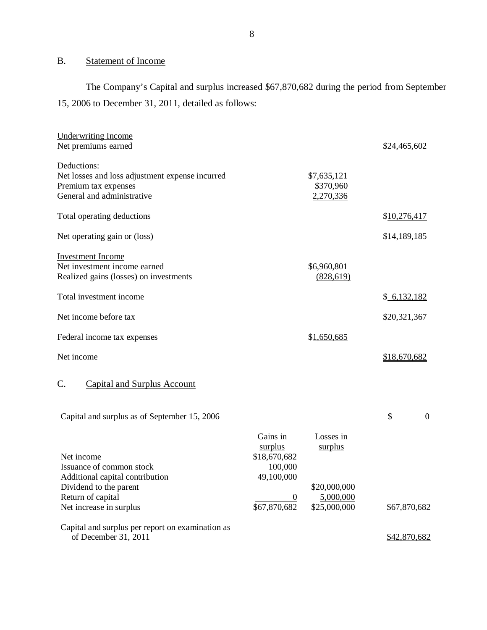# B. Statement of Income

The Company's Capital and surplus increased \$67,870,682 during the period from September 15, 2006 to December 31, 2011, detailed as follows:

| <b>Underwriting Income</b>                       |              |              |                      |
|--------------------------------------------------|--------------|--------------|----------------------|
| Net premiums earned                              |              |              | \$24,465,602         |
| Deductions:                                      |              |              |                      |
| Net losses and loss adjustment expense incurred  |              | \$7,635,121  |                      |
| Premium tax expenses                             |              | \$370,960    |                      |
| General and administrative                       |              | 2,270,336    |                      |
| Total operating deductions                       |              |              | \$10,276,417         |
| Net operating gain or (loss)                     |              |              | \$14,189,185         |
| <b>Investment Income</b>                         |              |              |                      |
| Net investment income earned                     |              | \$6,960,801  |                      |
| Realized gains (losses) on investments           |              | (828, 619)   |                      |
| Total investment income                          |              |              | \$6,132,182          |
| Net income before tax                            |              |              | \$20,321,367         |
| Federal income tax expenses                      |              | \$1,650,685  |                      |
| Net income                                       |              |              | \$18,670,682         |
| C.<br><b>Capital and Surplus Account</b>         |              |              |                      |
| Capital and surplus as of September 15, 2006     |              |              | \$<br>$\overline{0}$ |
|                                                  | Gains in     | Losses in    |                      |
|                                                  | surplus      | surplus      |                      |
| Net income                                       | \$18,670,682 |              |                      |
| Issuance of common stock                         | 100,000      |              |                      |
| Additional capital contribution                  | 49,100,000   |              |                      |
| Dividend to the parent                           |              | \$20,000,000 |                      |
| Return of capital                                | $\theta$     | 5,000,000    |                      |
| Net increase in surplus                          | \$67,870,682 | \$25,000,000 | \$67,870,682         |
| Capital and surplus per report on examination as |              |              |                      |
| of December 31, 2011                             |              |              | \$42,870,682         |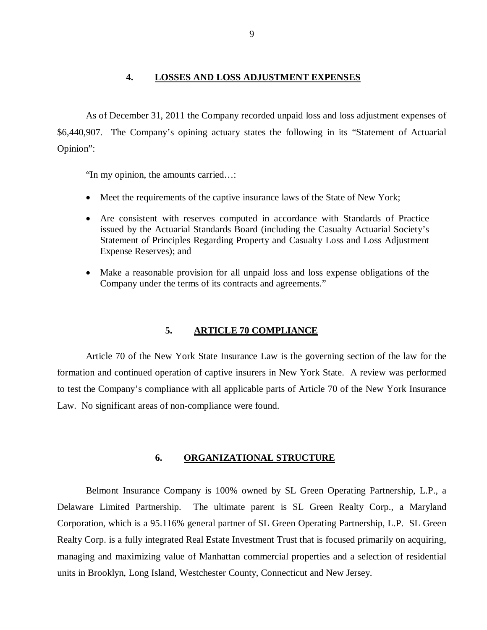### **4. LOSSES AND LOSS ADJUSTMENT EXPENSES**

<span id="page-10-0"></span>As of December 31, 2011 the Company recorded unpaid loss and loss adjustment expenses of \$6,440,907. The Company's opining actuary states the following in its "Statement of Actuarial Opinion":

"In my opinion, the amounts carried…:

- Meet the requirements of the captive insurance laws of the State of New York;
- Are consistent with reserves computed in accordance with Standards of Practice issued by the Actuarial Standards Board (including the Casualty Actuarial Society's Statement of Principles Regarding Property and Casualty Loss and Loss Adjustment Expense Reserves); and
- Make a reasonable provision for all unpaid loss and loss expense obligations of the Company under the terms of its contracts and agreements."

### **5. ARTICLE 70 COMPLIANCE**

Article 70 of the New York State Insurance Law is the governing section of the law for the formation and continued operation of captive insurers in New York State. A review was performed to test the Company's compliance with all applicable parts of Article 70 of the New York Insurance Law. No significant areas of non-compliance were found.

### **6. ORGANIZATIONAL STRUCTURE**

Belmont Insurance Company is 100% owned by SL Green Operating Partnership, L.P., a Delaware Limited Partnership. The ultimate parent is SL Green Realty Corp., a Maryland Corporation, which is a 95.116% general partner of SL Green Operating Partnership, L.P. SL Green Realty Corp. is a fully integrated Real Estate Investment Trust that is focused primarily on acquiring, managing and maximizing value of Manhattan commercial properties and a selection of residential units in Brooklyn, Long Island, Westchester County, Connecticut and New Jersey.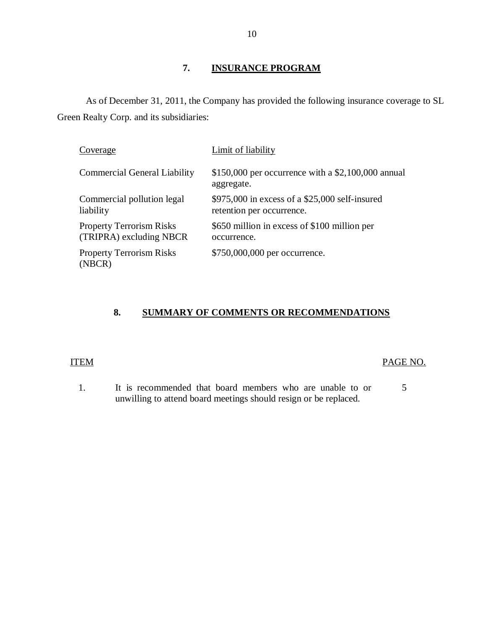# **7. INSURANCE PROGRAM**

<span id="page-11-0"></span>As of December 31, 2011, the Company has provided the following insurance coverage to SL Green Realty Corp. and its subsidiaries:

| Coverage                                                   | Limit of liability                                                            |
|------------------------------------------------------------|-------------------------------------------------------------------------------|
| <b>Commercial General Liability</b>                        | \$150,000 per occurrence with a $$2,100,000$ annual<br>aggregate.             |
| Commercial pollution legal<br>liability                    | $$975,000$ in excess of a $$25,000$ self-insured<br>retention per occurrence. |
| <b>Property Terrorism Risks</b><br>(TRIPRA) excluding NBCR | \$650 million in excess of \$100 million per<br>occurrence.                   |
| <b>Property Terrorism Risks</b><br>(NBCR)                  | \$750,000,000 per occurrence.                                                 |

# **8. SUMMARY OF COMMENTS OR RECOMMENDATIONS**

## ITEM PAGE NO.

1. It is recommended that board members who are unable to or 5 unwilling to attend board meetings should resign or be replaced.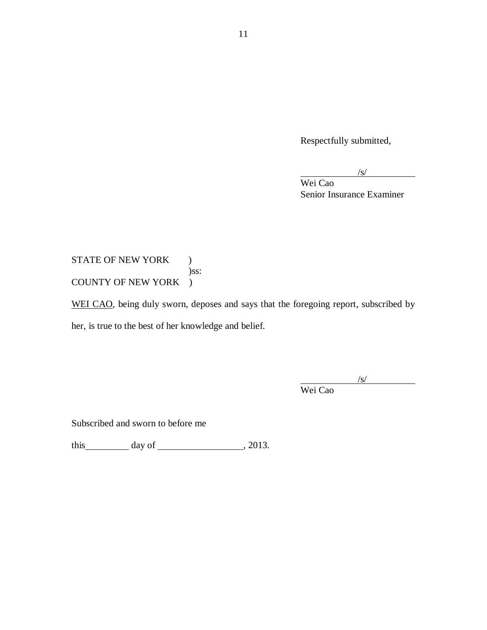Respectfully submitted,

 $\sqrt{s}$ /

Wei Cao Senior Insurance Examiner

STATE OF NEW YORK ) )ss: COUNTY OF NEW YORK )

WEI CAO, being duly sworn, deposes and says that the foregoing report, subscribed by her, is true to the best of her knowledge and belief.

> /s/ Wei Cao

Subscribed and sworn to before me

this  $\qquad \qquad$  day of  $\qquad \qquad$  , 2013.